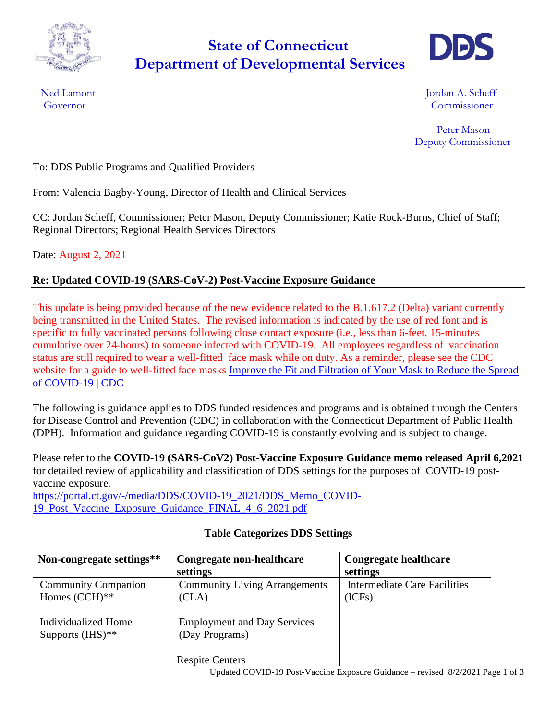

# **Department of Developmental Services State of Connecticut**



Ned Lamont **International Contract Contract Contract Contract Contract Contract Contract Contract Contract Contract Contract Contract Contract Contract Contract Contract Contract Contract Contract Contract Contract Contrac** Governor Commissioner

> Peter Mason Deputy Commissioner

To: DDS Public Programs and Qualified Providers

From: Valencia Bagby-Young, Director of Health and Clinical Services

CC: Jordan Scheff, Commissioner; Peter Mason, Deputy Commissioner; Katie Rock-Burns, Chief of Staff; Regional Directors; Regional Health Services Directors

Date: August 2, 2021

## **Re: Updated COVID-19 (SARS-CoV-2) Post-Vaccine Exposure Guidance**

This update is being provided because of the new evidence related to the B.1.617.2 (Delta) variant currently being transmitted in the United States. The revised information is indicated by the use of red font and is specific to fully vaccinated persons following close contact exposure (i.e., less than 6-feet, 15-minutes cumulative over 24-hours) to someone infected with COVID-19. All employees regardless of vaccination status are still required to wear a well-fitted face mask while on duty. As a reminder, please see the CDC website for a guide to well-fitted face masks [Improve the Fit and Filtration of Your Mask to Reduce the Spread](https://www.cdc.gov/coronavirus/2019-ncov/prevent-getting-sick/mask-fit-and-filtration.html)  [of COVID-19 | CDC](https://www.cdc.gov/coronavirus/2019-ncov/prevent-getting-sick/mask-fit-and-filtration.html)

The following is guidance applies to DDS funded residences and programs and is obtained through the Centers for Disease Control and Prevention (CDC) in collaboration with the Connecticut Department of Public Health (DPH). Information and guidance regarding COVID-19 is constantly evolving and is subject to change.

Please refer to the **COVID-19 (SARS-CoV2) Post-Vaccine Exposure Guidance memo released April 6,2021** for detailed review of applicability and classification of DDS settings for the purposes of COVID-19 postvaccine exposure.

[https://portal.ct.gov/-/media/DDS/COVID-19\\_2021/DDS\\_Memo\\_COVID-](https://portal.ct.gov/-/media/DDS/COVID-19_2021/DDS_Memo_COVID-19_Post_Vaccine_Exposure_Guidance_FINAL_4_6_2021.pdf)[19\\_Post\\_Vaccine\\_Exposure\\_Guidance\\_FINAL\\_4\\_6\\_2021.pdf](https://portal.ct.gov/-/media/DDS/COVID-19_2021/DDS_Memo_COVID-19_Post_Vaccine_Exposure_Guidance_FINAL_4_6_2021.pdf)

| Non-congregate settings**  | Congregate non-healthcare            | <b>Congregate healthcare</b> |
|----------------------------|--------------------------------------|------------------------------|
|                            | settings                             | settings                     |
| <b>Community Companion</b> | <b>Community Living Arrangements</b> | Intermediate Care Facilities |
| Homes $(CCH)**$            | (CLA)                                | (ICFs)                       |
|                            |                                      |                              |
| Individualized Home        | <b>Employment and Day Services</b>   |                              |
| Supports $(HIS)$ **        | (Day Programs)                       |                              |
|                            |                                      |                              |
|                            | <b>Respite Centers</b>               |                              |

## **Table Categorizes DDS Settings**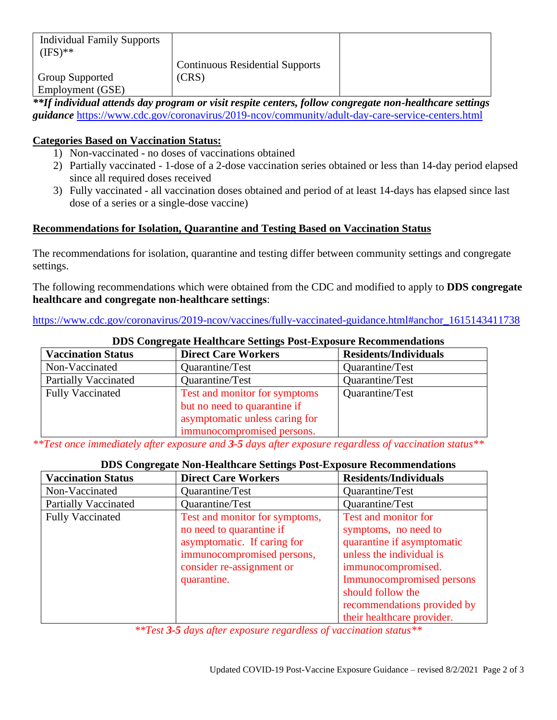| <b>Individual Family Supports</b><br>$(IFS)$ ** |                                        |  |
|-------------------------------------------------|----------------------------------------|--|
|                                                 | <b>Continuous Residential Supports</b> |  |
| Group Supported                                 | (CRS)                                  |  |
| Employment (GSE)                                |                                        |  |

*\*\*If individual attends day program or visit respite centers, follow congregate non-healthcare settings guidance* <https://www.cdc.gov/coronavirus/2019-ncov/community/adult-day-care-service-centers.html>

## **Categories Based on Vaccination Status:**

- 1) Non-vaccinated no doses of vaccinations obtained
- 2) Partially vaccinated 1-dose of a 2-dose vaccination series obtained or less than 14-day period elapsed since all required doses received
- 3) Fully vaccinated all vaccination doses obtained and period of at least 14-days has elapsed since last dose of a series or a single-dose vaccine)

## **Recommendations for Isolation, Quarantine and Testing Based on Vaccination Status**

The recommendations for isolation, quarantine and testing differ between community settings and congregate settings.

The following recommendations which were obtained from the CDC and modified to apply to **DDS congregate healthcare and congregate non-healthcare settings**:

#### [https://www.cdc.gov/coronavirus/2019-ncov/vaccines/fully-vaccinated-guidance.html#anchor\\_1615143411738](https://www.cdc.gov/coronavirus/2019-ncov/vaccines/fully-vaccinated-guidance.html#anchor_1615143411738)

| DDS Congregate ricanneare Settings I ost-Exposure Recommendations |                                                                                                                               |                              |
|-------------------------------------------------------------------|-------------------------------------------------------------------------------------------------------------------------------|------------------------------|
| <b>Vaccination Status</b>                                         | <b>Direct Care Workers</b>                                                                                                    | <b>Residents/Individuals</b> |
| Non-Vaccinated                                                    | Quarantine/Test                                                                                                               | Quarantine/Test              |
| <b>Partially Vaccinated</b>                                       | Quarantine/Test                                                                                                               | Quarantine/Test              |
| <b>Fully Vaccinated</b>                                           | Test and monitor for symptoms<br>but no need to quarantine if<br>asymptomatic unless caring for<br>immunocompromised persons. | Quarantine/Test              |

## **DDS Congregate Healthcare Settings Post-Exposure Recommendations**

*\*\*Test once immediately after exposure and 3-5 days after exposure regardless of vaccination status\*\**

#### **DDS Congregate Non-Healthcare Settings Post-Exposure Recommendations**

| <b>Vaccination Status</b>   | <b>Direct Care Workers</b>                                                                                                                                          | <b>Residents/Individuals</b>                                                                                                                                                   |
|-----------------------------|---------------------------------------------------------------------------------------------------------------------------------------------------------------------|--------------------------------------------------------------------------------------------------------------------------------------------------------------------------------|
| Non-Vaccinated              | Quarantine/Test                                                                                                                                                     | Quarantine/Test                                                                                                                                                                |
| <b>Partially Vaccinated</b> | Quarantine/Test                                                                                                                                                     | Quarantine/Test                                                                                                                                                                |
| <b>Fully Vaccinated</b>     | Test and monitor for symptoms,<br>no need to quarantine if<br>asymptomatic. If caring for<br>immunocompromised persons,<br>consider re-assignment or<br>quarantine. | Test and monitor for<br>symptoms, no need to<br>quarantine if asymptomatic<br>unless the individual is<br>immunocompromised.<br>Immunocompromised persons<br>should follow the |
|                             |                                                                                                                                                                     | recommendations provided by                                                                                                                                                    |
|                             |                                                                                                                                                                     | their healthcare provider.                                                                                                                                                     |

*\*\*Test 3-5 days after exposure regardless of vaccination status\*\**